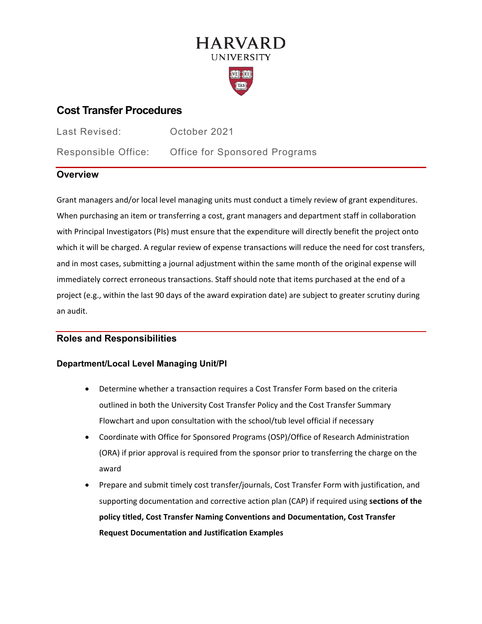# **HARVARD UNIVERSITY**



# **Cost Transfer Procedures**

Last Revised: October 2021

Responsible Office: Office for Sponsored Programs

## **Overview**

Grant managers and/or local level managing units must conduct a timely review of grant expenditures. When purchasing an item or transferring a cost, grant managers and department staff in collaboration with Principal Investigators (PIs) must ensure that the expenditure will directly benefit the project onto which it will be charged. A regular review of expense transactions will reduce the need for cost transfers, and in most cases, submitting a journal adjustment within the same month of the original expense will immediately correct erroneous transactions. Staff should note that items purchased at the end of a project (e.g., within the last 90 days of the award expiration date) are subject to greater scrutiny during an audit.

### **Roles and Responsibilities**

### **Department/Local Level Managing Unit/PI**

- Determine whether a transaction requires a Cost Transfer Form based on the criteria outlined in both the University Cost Transfer Policy and the Cost Transfer Summary Flowchart and upon consultation with the school/tub level official if necessary
- Coordinate with Office for Sponsored Programs (OSP)/Office of Research Administration (ORA) if prior approval is required from the sponsor prior to transferring the charge on the award
- Prepare and submit timely cost transfer/journals, Cost Transfer Form with justification, and supporting documentation and corrective action plan (CAP) if required using **sections of the policy titled, Cost Transfer Naming Conventions and Documentation, Cost Transfer Request Documentation and Justification Examples**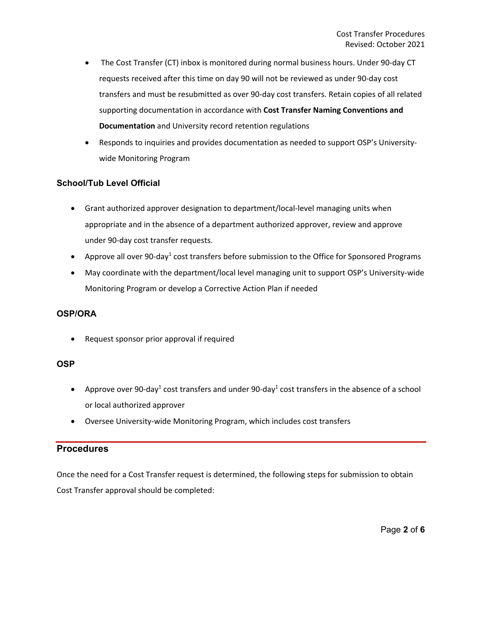- The Cost Transfer (CT) inbox is monitored during normal business hours. Under 90-day CT requests received after this time on day 90 will not be reviewed as under 90-day cost transfers and must be resubmitted as over 90-day cost transfers. Retain copies of all related supporting documentation in accordance with **Cost Transfer Naming Conventions and Documentation** and University record retention regulations
- Responds to inquiries and provides documentation as needed to support OSP's Universitywide Monitoring Program

#### **School/Tub Level Official**

- Grant authorized approver designation to department/local-level managing units when appropriate and in the absence of a department authorized approver, review and approve under 90-day cost transfer requests.
- Approve all over 90-day<sup>1</sup> cost transfers before submission to the Office for Sponsored Programs
- May coordinate with the department/local level managing unit to support OSP's University-wide Monitoring Program or develop a Corrective Action Plan if needed

#### **OSP/ORA**

• Request sponsor prior approval if required

#### **OSP**

- Approve over 90-day<sup>1</sup> cost transfers and under 90-day<sup>1</sup> cost transfers in the absence of a school or local authorized approver
- Oversee University-wide Monitoring Program, which includes cost transfers

### **Procedures**

Once the need for a Cost Transfer request is determined, the following steps for submission to obtain Cost Transfer approval should be completed: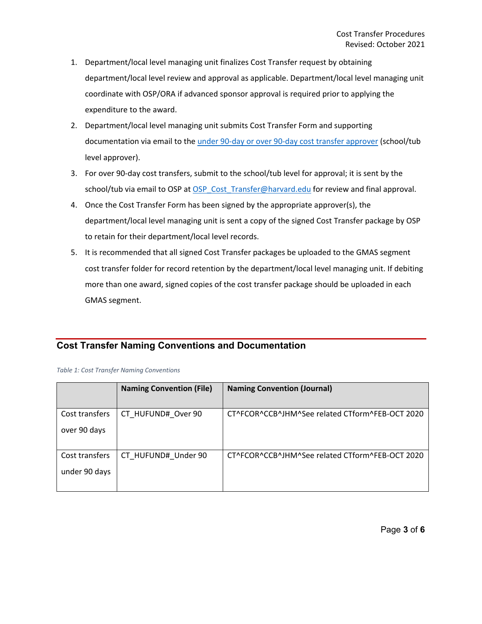- 1. Department/local level managing unit finalizes Cost Transfer request by obtaining department/local level review and approval as applicable. Department/local level managing unit coordinate with OSP/ORA if advanced sponsor approval is required prior to applying the expenditure to the award.
- 2. Department/local level managing unit submits Cost Transfer Form and supporting documentation via email to the [under 90-day or over 90-day cost transfer approver](https://osp.finance.harvard.edu/cost-transfer-process#Approvers) (school/tub level approver).
- 3. For over 90-day cost transfers, submit to the school/tub level for approval; it is sent by the school/tub via email to OSP at [OSP\\_Cost\\_Transfer@harvard.edu](mailto:OSP_Cost_Transfer@harvard.edu) for review and final approval.
- 4. Once the Cost Transfer Form has been signed by the appropriate approver(s), the department/local level managing unit is sent a copy of the signed Cost Transfer package by OSP to retain for their department/local level records.
- 5. It is recommended that all signed Cost Transfer packages be uploaded to the GMAS segment cost transfer folder for record retention by the department/local level managing unit. If debiting more than one award, signed copies of the cost transfer package should be uploaded in each GMAS segment.

### **Cost Transfer Naming Conventions and Documentation**

*Table 1: Cost Transfer Naming Conventions*

|                                 | <b>Naming Convention (File)</b> | <b>Naming Convention (Journal)</b>              |
|---------------------------------|---------------------------------|-------------------------------------------------|
| Cost transfers<br>over 90 days  | CT HUFUND# Over 90              | CT^FCOR^CCB^JHM^See related CTform^FEB-OCT 2020 |
| Cost transfers<br>under 90 days | CT HUFUND# Under 90             | CT^FCOR^CCB^JHM^See related CTform^FEB-OCT 2020 |

Page **3** of **6**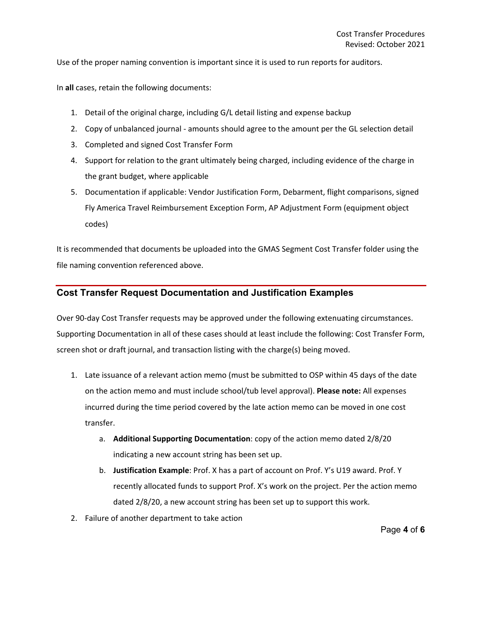Use of the proper naming convention is important since it is used to run reports for auditors.

In **all** cases, retain the following documents:

- 1. Detail of the original charge, including G/L detail listing and expense backup
- 2. Copy of unbalanced journal amounts should agree to the amount per the GL selection detail
- 3. Completed and signed Cost Transfer Form
- 4. Support for relation to the grant ultimately being charged, including evidence of the charge in the grant budget, where applicable
- 5. Documentation if applicable: Vendor Justification Form, Debarment, flight comparisons, signed Fly America Travel Reimbursement Exception Form, AP Adjustment Form (equipment object codes)

It is recommended that documents be uploaded into the GMAS Segment Cost Transfer folder using the file naming convention referenced above.

#### **Cost Transfer Request Documentation and Justification Examples**

Over 90-day Cost Transfer requests may be approved under the following extenuating circumstances. Supporting Documentation in all of these cases should at least include the following: Cost Transfer Form, screen shot or draft journal, and transaction listing with the charge(s) being moved.

- 1. Late issuance of a relevant action memo (must be submitted to OSP within 45 days of the date on the action memo and must include school/tub level approval). **Please note:** All expenses incurred during the time period covered by the late action memo can be moved in one cost transfer.
	- a. **Additional Supporting Documentation**: copy of the action memo dated 2/8/20 indicating a new account string has been set up.
	- b. **Justification Example**: Prof. X has a part of account on Prof. Y's U19 award. Prof. Y recently allocated funds to support Prof. X's work on the project. Per the action memo dated 2/8/20, a new account string has been set up to support this work.
- 2. Failure of another department to take action

Page **4** of **6**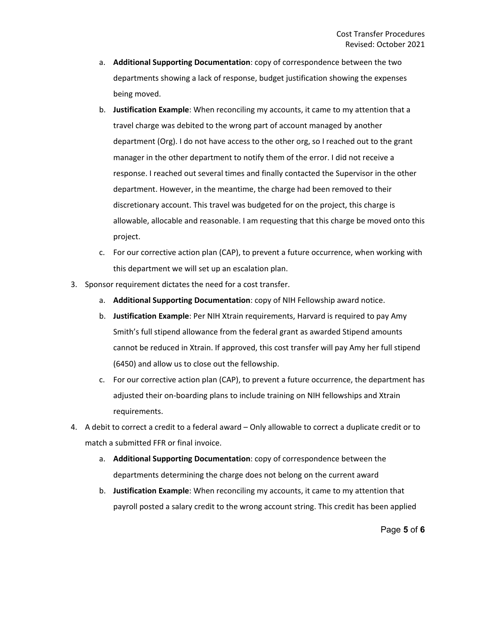- a. **Additional Supporting Documentation**: copy of correspondence between the two departments showing a lack of response, budget justification showing the expenses being moved.
- b. **Justification Example**: When reconciling my accounts, it came to my attention that a travel charge was debited to the wrong part of account managed by another department (Org). I do not have access to the other org, so I reached out to the grant manager in the other department to notify them of the error. I did not receive a response. I reached out several times and finally contacted the Supervisor in the other department. However, in the meantime, the charge had been removed to their discretionary account. This travel was budgeted for on the project, this charge is allowable, allocable and reasonable. I am requesting that this charge be moved onto this project.
- c. For our corrective action plan (CAP), to prevent a future occurrence, when working with this department we will set up an escalation plan.
- 3. Sponsor requirement dictates the need for a cost transfer.
	- a. **Additional Supporting Documentation**: copy of NIH Fellowship award notice.
	- b. **Justification Example**: Per NIH Xtrain requirements, Harvard is required to pay Amy Smith's full stipend allowance from the federal grant as awarded Stipend amounts cannot be reduced in Xtrain. If approved, this cost transfer will pay Amy her full stipend (6450) and allow us to close out the fellowship.
	- c. For our corrective action plan (CAP), to prevent a future occurrence, the department has adjusted their on-boarding plans to include training on NIH fellowships and Xtrain requirements.
- 4. A debit to correct a credit to a federal award Only allowable to correct a duplicate credit or to match a submitted FFR or final invoice.
	- a. **Additional Supporting Documentation**: copy of correspondence between the departments determining the charge does not belong on the current award
	- b. **Justification Example**: When reconciling my accounts, it came to my attention that payroll posted a salary credit to the wrong account string. This credit has been applied

Page **5** of **6**